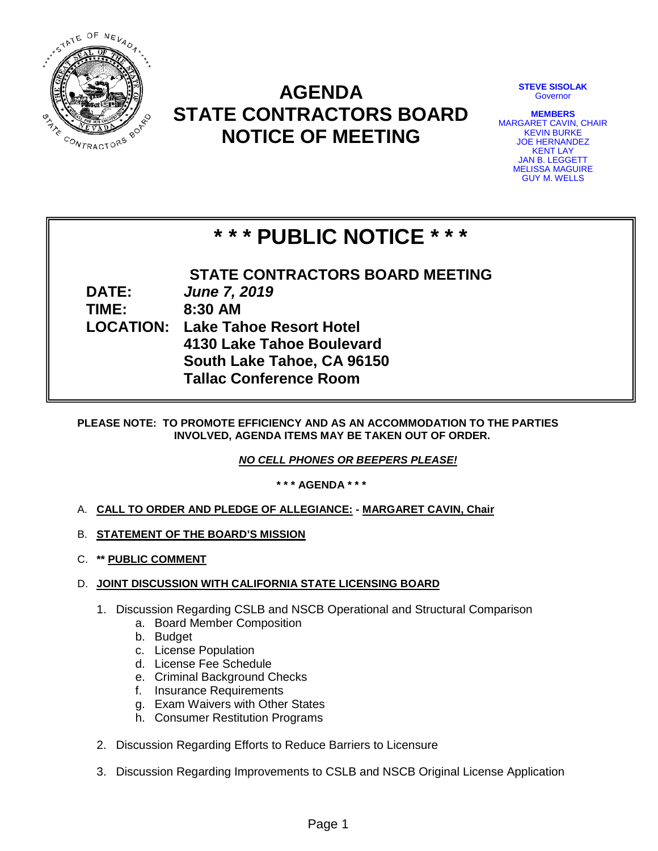

## **AGENDA STATE CONTRACTORS BOARD NOTICE OF MEETING**

**STEVE SISOLAK Governor** 

**MEMBERS** MARGARET CAVIN, CHAIR KEVIN BURKE JOE HERNANDEZ KENT LAY JAN B. LEGGETT MELISSA MAGUIRE GUY M. WELLS

# **\* \* \* PUBLIC NOTICE \* \* \***

**STATE CONTRACTORS BOARD MEETING DATE:** *June 7, 2019* **TIME: 8:30 AM LOCATION: Lake Tahoe Resort Hotel 4130 Lake Tahoe Boulevard South Lake Tahoe, CA 96150 Tallac Conference Room**

### **PLEASE NOTE: TO PROMOTE EFFICIENCY AND AS AN ACCOMMODATION TO THE PARTIES INVOLVED, AGENDA ITEMS MAY BE TAKEN OUT OF ORDER.**

*NO CELL PHONES OR BEEPERS PLEASE!* 

**\* \* \* AGENDA \* \* \***

- A. **CALL TO ORDER AND PLEDGE OF ALLEGIANCE: - MARGARET CAVIN, Chair**
- B. **STATEMENT OF THE BOARD'S MISSION**
- C. **\*\* PUBLIC COMMENT**
- D. **JOINT DISCUSSION WITH CALIFORNIA STATE LICENSING BOARD**
	- 1. Discussion Regarding CSLB and NSCB Operational and Structural Comparison
		- a. Board Member Composition
		- b. Budget
		- c. License Population
		- d. License Fee Schedule
		- e. Criminal Background Checks
		- f. Insurance Requirements
		- g. Exam Waivers with Other States
		- h. Consumer Restitution Programs
	- 2. Discussion Regarding Efforts to Reduce Barriers to Licensure
	- 3. Discussion Regarding Improvements to CSLB and NSCB Original License Application